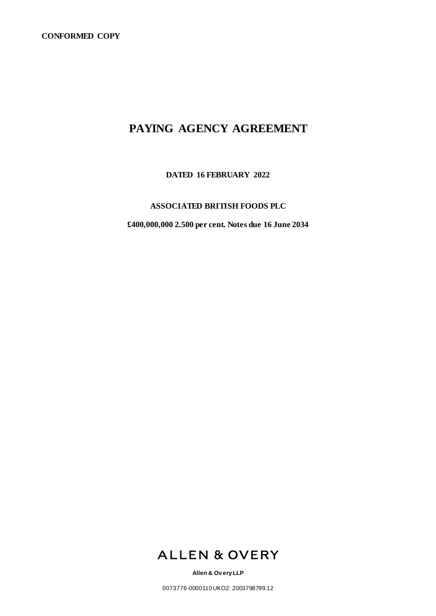# **PAYING AGENCY AGREEMENT**

**DATED 16 FEBRUARY 2022**

## **ASSOCIATED BRITISH FOODS PLC**

**£400,000,000 2.500 per cent. Notes due 16 June 2034**



**Allen & Ov ery LLP**

0073776-0000110 UKO2: 2003798799.12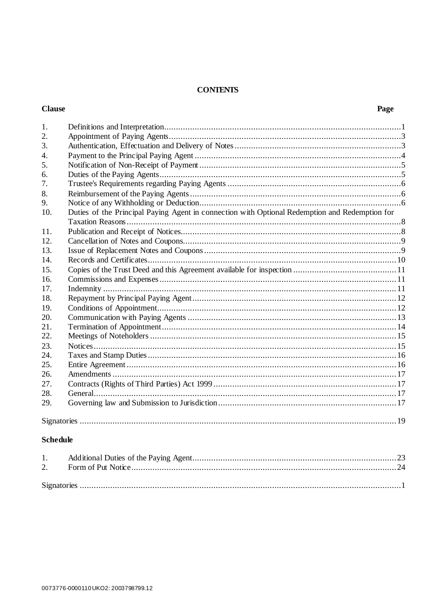## **CONTENTS**

## **Clause**

| 1.               |                                                                                                |  |  |  |
|------------------|------------------------------------------------------------------------------------------------|--|--|--|
| 2.               |                                                                                                |  |  |  |
| 3.               |                                                                                                |  |  |  |
| $\overline{4}$ . |                                                                                                |  |  |  |
| 5.               |                                                                                                |  |  |  |
| 6.               |                                                                                                |  |  |  |
| 7.               |                                                                                                |  |  |  |
| 8.               |                                                                                                |  |  |  |
| 9.               |                                                                                                |  |  |  |
| 10.              | Duties of the Principal Paying Agent in connection with Optional Redemption and Redemption for |  |  |  |
|                  |                                                                                                |  |  |  |
| 11.              |                                                                                                |  |  |  |
| 12.              |                                                                                                |  |  |  |
| 13.              |                                                                                                |  |  |  |
| 14.              |                                                                                                |  |  |  |
| 15.              |                                                                                                |  |  |  |
| 16.              |                                                                                                |  |  |  |
| 17.              |                                                                                                |  |  |  |
| 18.              |                                                                                                |  |  |  |
| 19.              |                                                                                                |  |  |  |
| 20.              |                                                                                                |  |  |  |
| 21.              |                                                                                                |  |  |  |
| 22.              |                                                                                                |  |  |  |
| 23.              |                                                                                                |  |  |  |
| 24.              |                                                                                                |  |  |  |
| 25.              |                                                                                                |  |  |  |
| 26.              |                                                                                                |  |  |  |
| 27.              |                                                                                                |  |  |  |
| 28.              |                                                                                                |  |  |  |
| 29.              |                                                                                                |  |  |  |
|                  |                                                                                                |  |  |  |
|                  |                                                                                                |  |  |  |

## **Schedule**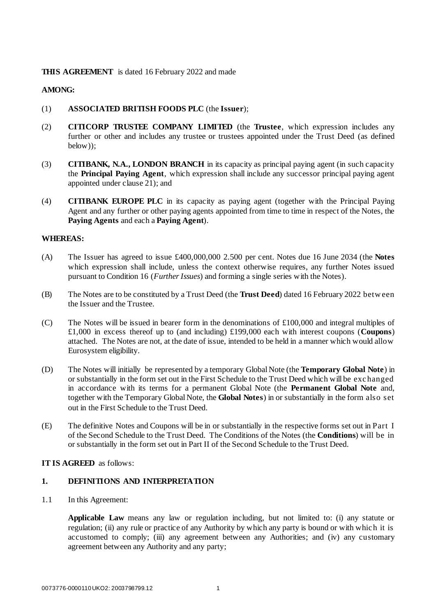### **THIS AGREEMENT** is dated 16 February 2022 and made

## **AMONG:**

- (1) **ASSOCIATED BRITISH FOODS PLC** (the **Issuer**);
- (2) **CITICORP TRUSTEE COMPANY LIMITED** (the **Trustee**, which expression includes any further or other and includes any trustee or trustees appointed under the Trust Deed (as defined below));
- (3) **CITIBANK, N.A., LONDON BRANCH** in its capacity as principal paying agent (in such capacity the **Principal Paying Agent**, which expression shall include any successor principal paying agent appointed under claus[e 21\)](#page-15-0); and
- (4) **CITIBANK EUROPE PLC** in its capacity as paying agent (together with the Principal Paying Agent and any further or other paying agents appointed from time to time in respect of the Notes, the **Paying Agents** and each a **Paying Agent**).

#### **WHEREAS:**

- (A) The Issuer has agreed to issue £400,000,000 2.500 per cent. Notes due 16 June 2034 (the **Notes** which expression shall include, unless the context otherwise requires, any further Notes issued pursuant to Condition 16 (*Further Issues*) and forming a single series with the Notes).
- (B) The Notes are to be constituted by a Trust Deed (the **Trust Deed**) dated 16 February 2022 betw een the Issuer and the Trustee.
- (C) The Notes will be issued in bearer form in the denominations of £100,000 and integral multiples of £1,000 in excess thereof up to (and including) £199,000 each with interest coupons (**Coupons**) attached. The Notes are not, at the date of issue, intended to be held in a manner which would allow Eurosystem eligibility.
- (D) The Notes will initially be represented by a temporary Global Note (the **Temporary Global Note**) in or substantially in the form set out in the First Schedule to the Trust Deed which will be exc hanged in accordance with its terms for a permanent Global Note (the **Permanent Global Note** and, together with the Temporary Global Note, the **Global Notes**) in or substantially in the form also set out in the First Schedule to the Trust Deed.
- (E) The definitive Notes and Coupons will be in or substantially in the respective forms set out in Part I of the Second Schedule to the Trust Deed. The Conditions of the Notes (the **Conditions**) will be in or substantially in the form set out in Part II of the Second Schedule to the Trust Deed.

#### **IT IS AGREED** as follows:

#### **1. DEFINITIONS AND INTERPRETATION**

1.1 In this Agreement:

**Applicable Law** means any law or regulation including, but not limited to: (i) any statute or regulation; (ii) any rule or practice of any Authority by which any party is bound or with which it is accustomed to comply; (iii) any agreement between any Authorities; and (iv) any customary agreement between any Authority and any party;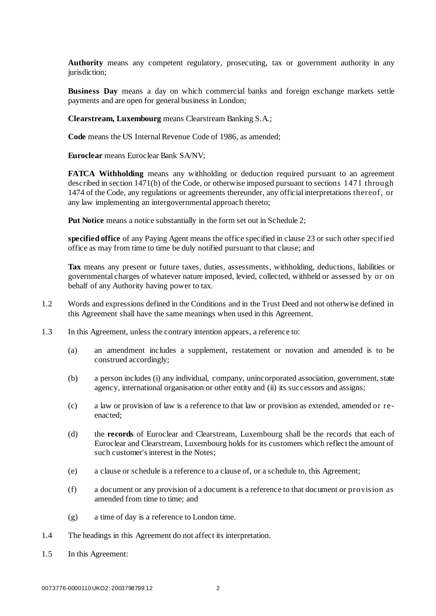**Authority** means any competent regulatory, prosecuting, tax or government authority in any jurisdiction:

**Business Day** means a day on which commercial banks and foreign exchange markets settle payments and are open for general business in London;

**Clearstream, Luxembourg** means Clearstream Banking S.A.;

**Code** means the US Internal Revenue Code of 1986, as amended;

**Euroclear** means Euroclear Bank SA/NV;

**FATCA Withholding** means any withholding or deduction required pursuant to an agreement described in section 1471(b) of the Code, or otherwise imposed pursuant to sections 1471 through 1474 of the Code, any regulations or agreements thereunder, any official interpretations thereof, or any law implementing an intergovernmental approach thereto;

**Put Notice** means a notice substantially in the form set out in Schedule 2;

**specified office** of any Paying Agent means the office specified in clause [23](#page-16-0) or such other specified office as may from time to time be duly notified pursuant to that clause; and

**Tax** means any present or future taxes, duties, assessments, withholding, deductions, liabilities or governmental charges of whatever nature imposed, levied, collected, withheld or assessed by or on behalf of any Authority having power to tax.

- 1.2 Words and expressions defined in the Conditions and in the Trust Deed and not otherwise defined in this Agreement shall have the same meanings when used in this Agreement.
- 1.3 In this Agreement, unless the contrary intention appears, a reference to:
	- (a) an amendment includes a supplement, restatement or novation and amended is to be construed accordingly;
	- (b) a person includes (i) any individual, company, unincorporated association, government, state agency, international organisation or other entity and (ii) its successors and assigns;
	- (c) a law or provision of law is a reference to that law or provision as extended, amended or reenacted;
	- (d) the **records** of Euroclear and Clearstream, Luxembourg shall be the records that each of Euroclear and Clearstream, Luxembourg holds for its customers which reflect the amount of such customer's interest in the Notes;
	- (e) a clause or schedule is a reference to a clause of, or a schedule to, this Agreement;
	- (f) a document or any provision of a document is a reference to that document or provision as amended from time to time; and
	- (g) a time of day is a reference to London time.
- 1.4 The headings in this Agreement do not affect its interpretation.
- 1.5 In this Agreement: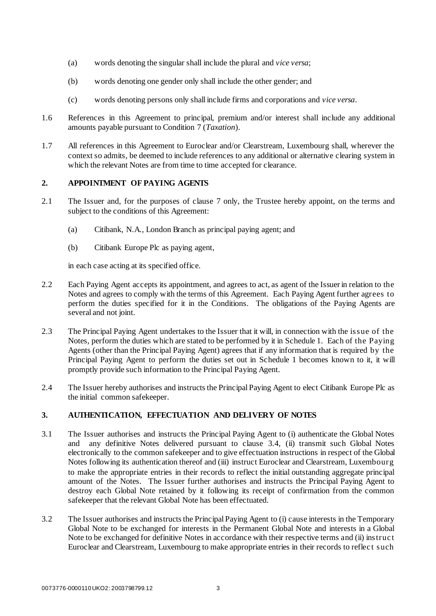- (a) words denoting the singular shall include the plural and *vice versa*;
- (b) words denoting one gender only shall include the other gender; and
- (c) words denoting persons only shall include firms and corporations and *vice versa*.
- 1.6 References in this Agreement to principal, premium and/or interest shall include any additional amounts payable pursuant to Condition 7 (*Taxation*).
- 1.7 All references in this Agreement to Euroclear and/or Clearstream, Luxembourg shall, wherever the context so admits, be deemed to include references to any additional or alternative clearing system in which the relevant Notes are from time to time accepted for clearance.

## **2. APPOINTMENT OF PAYING AGENTS**

- 2.1 The Issuer and, for the purposes of claus[e 7](#page-7-0) only, the Trustee hereby appoint, on the terms and subject to the conditions of this Agreement:
	- (a) Citibank, N.A., London Branch as principal paying agent; and
	- (b) Citibank Europe Plc as paying agent,

in each case acting at its specified office.

- 2.2 Each Paying Agent accepts its appointment, and agrees to act, as agent of the Issuer in relation to the Notes and agrees to comply with the terms of this Agreement. Each Paying Agent further agrees to perform the duties specified for it in the Conditions. The obligations of the Paying Agents are several and not joint.
- 2.3 The Principal Paying Agent undertakes to the Issuer that it will, in connection with the issue of the Notes, perform the duties which are stated to be performed by it in [Schedule 1. E](#page-24-0)ach of the Paying Agents (other than the Principal Paying Agent) agrees that if any information that is required by the Principal Paying Agent to perform the duties set out in [Schedule 1](#page-24-0) becomes known to it, it will promptly provide such information to the Principal Paying Agent.
- 2.4 The Issuer hereby authorises and instructs the Principal Paying Agent to elect Citibank Europe Plc as the initial common safekeeper.

## **3. AUTHENTICATION, EFFECTUATION AND DELIVERY OF NOTES**

- 3.1 The Issuer authorises and instructs the Principal Paying Agent to (i) authenticate the Global Notes and any definitive Notes delivered pursuant to clause [3.4,](#page-5-0) (ii) transmit such Global Notes electronically to the common safekeeper and to give effectuation instructions in respect of the Global Notes following its authentication thereof and (iii) instruct Euroclear and Clearstream, Luxembourg to make the appropriate entries in their records to reflect the initial outstanding aggregate principal amount of the Notes. The Issuer further authorises and instructs the Principal Paying Agent to destroy each Global Note retained by it following its receipt of confirmation from the common safekeeper that the relevant Global Note has been effectuated.
- <span id="page-4-0"></span>3.2 The Issuer authorises and instructs the Principal Paying Agent to (i) cause interests in the Temporary Global Note to be exchanged for interests in the Permanent Global Note and interests in a Global Note to be exchanged for definitive Notes in accordance with their respective terms and (ii) instruc t Euroclear and Clearstream, Luxembourg to make appropriate entries in their records to reflec t such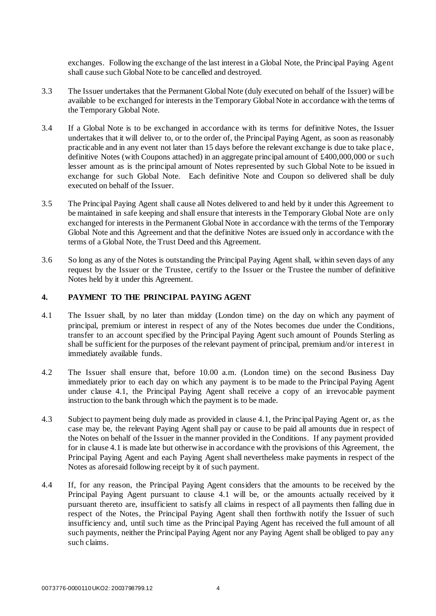exchanges. Following the exchange of the last interest in a Global Note, the Principal Paying Agent shall cause such Global Note to be cancelled and destroyed.

- 3.3 The Issuer undertakes that the Permanent Global Note (duly executed on behalf of the Issuer) will be available to be exchanged for interests in the Temporary Global Note in accordance with the terms of the Temporary Global Note.
- <span id="page-5-0"></span>3.4 If a Global Note is to be exchanged in accordance with its terms for definitive Notes, the Issuer undertakes that it will deliver to, or to the order of, the Principal Paying Agent, as soon as reasonably practicable and in any event not later than 15 days before the relevant exchange is due to take plac e, definitive Notes (with Coupons attached) in an aggregate principal amount of £400,000,000 or such lesser amount as is the principal amount of Notes represented by such Global Note to be issued in exchange for such Global Note. Each definitive Note and Coupon so delivered shall be duly executed on behalf of the Issuer.
- 3.5 The Principal Paying Agent shall cause all Notes delivered to and held by it under this Agreement to be maintained in safe keeping and shall ensure that interests in the Temporary Global Note are only exchanged for interests in the Permanent Global Note in accordance with the terms of the Temporary Global Note and this Agreement and that the definitive Notes are issued only in accordance with the terms of a Global Note, the Trust Deed and this Agreement.
- 3.6 So long as any of the Notes is outstanding the Principal Paying Agent shall, within seven days of any request by the Issuer or the Trustee, certify to the Issuer or the Trustee the number of definitive Notes held by it under this Agreement.

#### <span id="page-5-2"></span><span id="page-5-1"></span>**4. PAYMENT TO THE PRINCIPAL PAYING AGENT**

- 4.1 The Issuer shall, by no later than midday (London time) on the day on which any payment of principal, premium or interest in respect of any of the Notes becomes due under the Conditions, transfer to an account specified by the Principal Paying Agent such amount of Pounds Sterling as shall be sufficient for the purposes of the relevant payment of principal, premium and/or interest in immediately available funds.
- 4.2 The Issuer shall ensure that, before 10.00 a.m. (London time) on the second Business Day immediately prior to each day on which any payment is to be made to the Principal Paying Agent under clause 4.1, the Principal Paying Agent shall receive a copy of an irrevocable payment instruction to the bank through which the payment is to be made.
- 4.3 Subject to payment being duly made as provided in clause [4.1,](#page-5-1) the Principal Paying Agent or, as the case may be, the relevant Paying Agent shall pay or cause to be paid all amounts due in respect of the Notes on behalf of the Issuer in the manner provided in the Conditions. If any payment provided for in clause [4.1](#page-5-1) is made late but otherwise in accordance with the provisions of this Agreement, the Principal Paying Agent and each Paying Agent shall nevertheless make payments in respect of the Notes as aforesaid following receipt by it of such payment.
- 4.4 If, for any reason, the Principal Paying Agent considers that the amounts to be received by the Principal Paying Agent pursuant to clause [4.1](#page-5-1) will be, or the amounts actually received by it pursuant thereto are, insufficient to satisfy all claims in respect of all payments then falling due in respect of the Notes, the Principal Paying Agent shall then forthwith notify the Issuer of such insufficiency and, until such time as the Principal Paying Agent has received the full amount of all such payments, neither the Principal Paying Agent nor any Paying Agent shall be obliged to pay any such claims.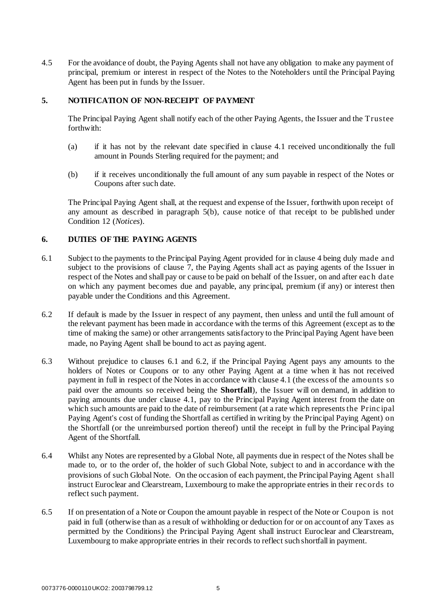4.5 For the avoidance of doubt, the Paying Agents shall not have any obligation to make any payment of principal, premium or interest in respect of the Notes to the Noteholders until the Principal Paying Agent has been put in funds by the Issuer.

## **5. NOTIFICATION OF NON-RECEIPT OF PAYMENT**

The Principal Paying Agent shall notify each of the other Paying Agents, the Issuer and the Trustee forthwith:

- (a) if it has not by the relevant date specified in claus[e 4.1](#page-5-1) received unconditionally the full amount in Pounds Sterling required for the payment; and
- <span id="page-6-0"></span>(b) if it receives unconditionally the full amount of any sum payable in respect of the Notes or Coupons after such date.

The Principal Paying Agent shall, at the request and expense of the Issuer, forthwith upon receipt of any amount as described in paragraph [5\(b\),](#page-6-0) cause notice of that receipt to be published under Condition 12 (*Notices*).

## <span id="page-6-1"></span>**6. DUTIES OF THE PAYING AGENTS**

- 6.1 Subject to the payments to the Principal Paying Agent provided for in clause [4](#page-5-2) being duly made and subject to the provisions of claus[e 7](#page-7-0), the Paying Agents shall act as paying agents of the Issuer in respect of the Notes and shall pay or cause to be paid on behalf of the Issuer, on and after eac h date on which any payment becomes due and payable, any principal, premium (if any) or interest then payable under the Conditions and this Agreement.
- <span id="page-6-2"></span>6.2 If default is made by the Issuer in respect of any payment, then unless and until the full amount of the relevant payment has been made in accordance with the terms of this Agreement (except as to the time of making the same) or other arrangements satisfactory to the Principal Paying Agent have been made, no Paying Agent shall be bound to act as paying agent.
- 6.3 Without prejudice to clauses [6.1](#page-6-1) and [6.2,](#page-6-2) if the Principal Paying Agent pays any amounts to the holders of Notes or Coupons or to any other Paying Agent at a time when it has not received payment in full in respect of the Notes in accordance with clause [4.1](#page-5-1) (the excess of the amounts so paid over the amounts so received being the **Shortfall**), the Issuer will on demand, in addition to paying amounts due under claus[e 4.1](#page-5-1), pay to the Principal Paying Agent interest from the date on which such amounts are paid to the date of reimbursement (at a rate which represents the Princ ipal Paying Agent's cost of funding the Shortfall as certified in writing by the Principal Paying Agent) on the Shortfall (or the unreimbursed portion thereof) until the receipt in full by the Principal Paying Agent of the Shortfall.
- 6.4 Whilst any Notes are represented by a Global Note, all payments due in respect of the Notes shall be made to, or to the order of, the holder of such Global Note, subject to and in accordance with the provisions of such Global Note. On the occasion of each payment, the Principal Paying Agent shall instruct Euroclear and Clearstream, Luxembourg to make the appropriate entries in their rec ords to reflect such payment.
- 6.5 If on presentation of a Note or Coupon the amount payable in respect of the Note or Coupon is not paid in full (otherwise than as a result of withholding or deduction for or on account of any Taxes as permitted by the Conditions) the Principal Paying Agent shall instruct Euroclear and Clearstream, Luxembourg to make appropriate entries in their records to reflect such shortfall in payment.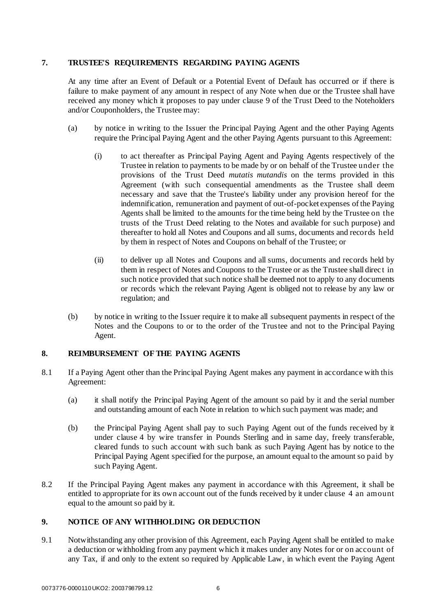## <span id="page-7-0"></span>**7. TRUSTEE'S REQUIREMENTS REGARDING PAYING AGENTS**

At any time after an Event of Default or a Potential Event of Default has occurred or if there is failure to make payment of any amount in respect of any Note when due or the Trustee shall have received any money which it proposes to pay under clause 9 of the Trust Deed to the Noteholders and/or Couponholders, the Trustee may:

- (a) by notice in writing to the Issuer the Principal Paying Agent and the other Paying Agents require the Principal Paying Agent and the other Paying Agents pursuant to this Agreement:
	- (i) to act thereafter as Principal Paying Agent and Paying Agents respectively of the Trustee in relation to payments to be made by or on behalf of the Trustee under the provisions of the Trust Deed *mutatis mutandis* on the terms provided in this Agreement (with such consequential amendments as the Trustee shall deem necessary and save that the Trustee's liability under any provision hereof for the indemnification, remuneration and payment of out-of-pocket expenses of the Paying Agents shall be limited to the amounts for the time being held by the Trustee on the trusts of the Trust Deed relating to the Notes and available for such purpose) and thereafter to hold all Notes and Coupons and all sums, documents and records held by them in respect of Notes and Coupons on behalf of the Trustee; or
	- (ii) to deliver up all Notes and Coupons and all sums, documents and records held by them in respect of Notes and Coupons to the Trustee or as the Trustee shall direc t in such notice provided that such notice shall be deemed not to apply to any documents or records which the relevant Paying Agent is obliged not to release by any law or regulation; and
- (b) by notice in writing to the Issuer require it to make all subsequent payments in respect of the Notes and the Coupons to or to the order of the Trustee and not to the Principal Paying Agent.

#### **8. REIMBURSEMENT OF THE PAYING AGENTS**

- 8.1 If a Paying Agent other than the Principal Paying Agent makes any payment in accordance with this Agreement:
	- (a) it shall notify the Principal Paying Agent of the amount so paid by it and the serial number and outstanding amount of each Note in relation to which such payment was made; and
	- (b) the Principal Paying Agent shall pay to such Paying Agent out of the funds received by it under clause [4](#page-5-2) by wire transfer in Pounds Sterling and in same day, freely transferable, cleared funds to such account with such bank as such Paying Agent has by notice to the Principal Paying Agent specified for the purpose, an amount equal to the amount so paid by such Paying Agent.
- 8.2 If the Principal Paying Agent makes any payment in accordance with this Agreement, it shall be entitled to appropriate for its own account out of the funds received by it under clause 4 [a](#page-5-2)n amount equal to the amount so paid by it.

#### <span id="page-7-1"></span>**9. NOTICE OF ANY WITHHOLDING OR DEDUCTION**

9.1 Notwithstanding any other provision of this Agreement, each Paying Agent shall be entitled to make a deduction or withholding from any payment which it makes under any Notes for or on account of any Tax, if and only to the extent so required by Applicable Law, in which event the Paying Agent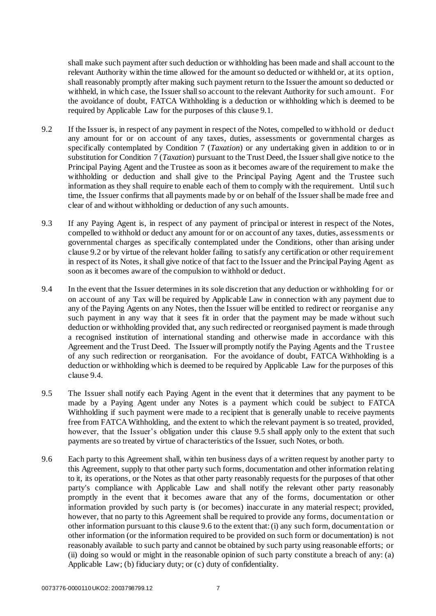shall make such payment after such deduction or withholding has been made and shall account to the relevant Authority within the time allowed for the amount so deducted or withheld or, at its option, shall reasonably promptly after making such payment return to the Issuer the amount so deducted or withheld, in which case, the Issuer shall so account to the relevant Authority for such amount. For the avoidance of doubt, FATCA Withholding is a deduction or withholding which is deemed to be required by Applicable Law for the purposes of this claus[e 9.1](#page-7-1).

- <span id="page-8-0"></span>9.2 If the Issuer is, in respect of any payment in respect of the Notes, compelled to withhold or deduc t any amount for or on account of any taxes, duties, assessments or governmental charges as specifically contemplated by Condition 7 (*Taxation*) or any undertaking given in addition to or in substitution for Condition 7 (*Taxation*) pursuant to the Trust Deed, the Issuer shall give notice to the Principal Paying Agent and the Trustee as soon as it becomes aware of the requirement to make the withholding or deduction and shall give to the Principal Paying Agent and the Trustee such information as they shall require to enable each of them to comply with the requirement. Until suc h time, the Issuer confirms that all payments made by or on behalf of the Issuer shall be made free and clear of and without withholding or deduction of any such amounts.
- 9.3 If any Paying Agent is, in respect of any payment of principal or interest in respect of the Notes, compelled to withhold or deduct any amount for or on account of any taxes, duties, assessments or governmental charges as specifically contemplated under the Conditions, other than arising under claus[e 9.2](#page-8-0) or by virtue of the relevant holder failing to satisfy any certification or other requirement in respect of its Notes, it shall give notice of that fact to the Issuer and the Principal Paying Agent as soon as it becomes aware of the compulsion to withhold or deduct.
- <span id="page-8-1"></span>9.4 In the event that the Issuer determines in its sole discretion that any deduction or withholding for or on account of any Tax will be required by Applicable Law in connection with any payment due to any of the Paying Agents on any Notes, then the Issuer will be entitled to redirect or reorganise any such payment in any way that it sees fit in order that the payment may be made without such deduction or withholding provided that, any such redirected or reorganised payment is made through a recognised institution of international standing and otherwise made in accordance with this Agreement and the Trust Deed. The Issuer will promptly notify the Paying Agents and the Trustee of any such redirection or reorganisation. For the avoidance of doubt, FATCA Withholding is a deduction or withholding which is deemed to be required by Applicable Law for the purposes of this clause [9.4.](#page-8-1)
- <span id="page-8-2"></span>9.5 The Issuer shall notify each Paying Agent in the event that it determines that any payment to be made by a Paying Agent under any Notes is a payment which could be subject to FATCA Withholding if such payment were made to a recipient that is generally unable to receive payments free from FATCA Withholding, and the extent to which the relevant payment is so treated, provided, however, that the Issuer's obligation under this claus[e 9.5](#page-8-2) shall apply only to the extent that such payments are so treated by virtue of characteristics of the Issuer, such Notes, or both.
- <span id="page-8-3"></span>9.6 Each party to this Agreement shall, within ten business days of a written request by another party to this Agreement, supply to that other party such forms, documentation and other information relating to it, its operations, or the Notes as that other party reasonably requests for the purposes of that other party's compliance with Applicable Law and shall notify the relevant other party reasonably promptly in the event that it becomes aware that any of the forms, documentation or other information provided by such party is (or becomes) inaccurate in any material respect; provided, however, that no party to this Agreement shall be required to provide any forms, documentation or other information pursuant to this clause [9.6](#page-8-3) to the extent that: (i) any such form, documentation or other information (or the information required to be provided on such form or documentation) is not reasonably available to such party and cannot be obtained by such party using reasonable efforts; or (ii) doing so would or might in the reasonable opinion of such party constitute a breach of any: (a) Applicable Law; (b) fiduciary duty; or (c) duty of confidentiality.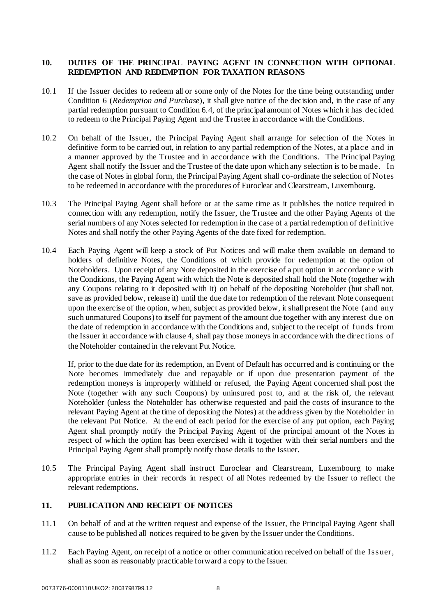## **10. DUTIES OF THE PRINCIPAL PAYING AGENT IN CONNECTION WITH OPTIONAL REDEMPTION AND REDEMPTION FOR TAXATION REASONS**

- 10.1 If the Issuer decides to redeem all or some only of the Notes for the time being outstanding under Condition 6 (*Redemption and Purchase*), it shall give notice of the decision and, in the case of any partial redemption pursuant to Condition 6.4, of the principal amount of Notes which it has dec ided to redeem to the Principal Paying Agent and the Trustee in accordance with the Conditions.
- 10.2 On behalf of the Issuer, the Principal Paying Agent shall arrange for selection of the Notes in definitive form to be carried out, in relation to any partial redemption of the Notes, at a place and in a manner approved by the Trustee and in accordance with the Conditions. The Principal Paying Agent shall notify the Issuer and the Trustee of the date upon which any selection is to be made. In the case of Notes in global form, the Principal Paying Agent shall co-ordinate the selection of Notes to be redeemed in accordance with the procedures of Euroclear and Clearstream, Luxembourg.
- 10.3 The Principal Paying Agent shall before or at the same time as it publishes the notice required in connection with any redemption, notify the Issuer, the Trustee and the other Paying Agents of the serial numbers of any Notes selected for redemption in the case of a partial redemption of definitive Notes and shall notify the other Paying Agents of the date fixed for redemption.
- <span id="page-9-0"></span>10.4 Each Paying Agent will keep a stock of Put Notices and will make them available on demand to holders of definitive Notes, the Conditions of which provide for redemption at the option of Noteholders. Upon receipt of any Note deposited in the exercise of a put option in accordanc e with the Conditions, the Paying Agent with which the Note is deposited shall hold the Note (together with any Coupons relating to it deposited with it) on behalf of the depositing Noteholder (but shall not, save as provided below, release it) until the due date for redemption of the relevant Note consequent upon the exercise of the option, when, subject as provided below, it shall present the Note (and any such unmatured Coupons) to itself for payment of the amount due together with any interest due on the date of redemption in accordance with the Conditions and, subject to the receipt of funds from the Issuer in accordance with clause [4,](#page-5-2) shall pay those moneys in accordance with the direc tions of the Noteholder contained in the relevant Put Notice.

If, prior to the due date for its redemption, an Event of Default has occurred and is continuing or the Note becomes immediately due and repayable or if upon due presentation payment of the redemption moneys is improperly withheld or refused, the Paying Agent concerned shall post the Note (together with any such Coupons) by uninsured post to, and at the risk of, the relevant Noteholder (unless the Noteholder has otherwise requested and paid the costs of insurance to the relevant Paying Agent at the time of depositing the Notes) at the address given by the Noteholder in the relevant Put Notice. At the end of each period for the exercise of any put option, each Paying Agent shall promptly notify the Principal Paying Agent of the principal amount of the Notes in respect of which the option has been exercised with it together with their serial numbers and the Principal Paying Agent shall promptly notify those details to the Issuer.

10.5 The Principal Paying Agent shall instruct Euroclear and Clearstream, Luxembourg to make appropriate entries in their records in respect of all Notes redeemed by the Issuer to reflect the relevant redemptions.

#### **11. PUBLICATION AND RECEIPT OF NOTICES**

- 11.1 On behalf of and at the written request and expense of the Issuer, the Principal Paying Agent shall cause to be published all notices required to be given by the Issuer under the Conditions.
- 11.2 Each Paying Agent, on receipt of a notice or other communication received on behalf of the Issuer, shall as soon as reasonably practicable forward a copy to the Issuer.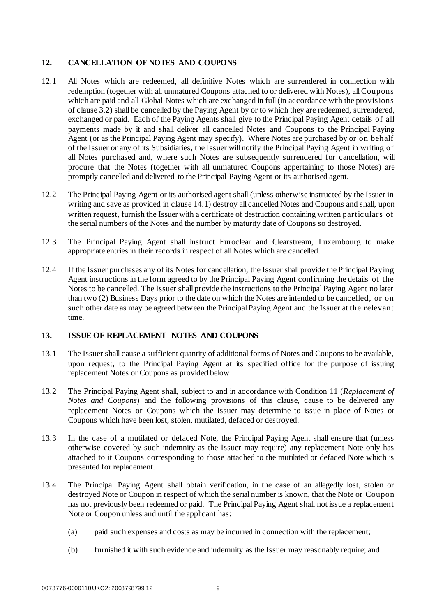## <span id="page-10-1"></span>**12. CANCELLATION OF NOTES AND COUPONS**

- 12.1 All Notes which are redeemed, all definitive Notes which are surrendered in connection with redemption (together with all unmatured Coupons attached to or delivered with Notes), all Coupons which are paid and all Global Notes which are exchanged in full (in accordance with the provisions of claus[e 3.2\)](#page-4-0) shall be cancelled by the Paying Agent by or to which they are redeemed, surrendered, exchanged or paid. Each of the Paying Agents shall give to the Principal Paying Agent details of all payments made by it and shall deliver all cancelled Notes and Coupons to the Principal Paying Agent (or as the Principal Paying Agent may specify). Where Notes are purchased by or on behalf of the Issuer or any of its Subsidiaries, the Issuer will notify the Principal Paying Agent in writing of all Notes purchased and, where such Notes are subsequently surrendered for cancellation, will procure that the Notes (together with all unmatured Coupons appertaining to those Notes) are promptly cancelled and delivered to the Principal Paying Agent or its authorised agent.
- <span id="page-10-0"></span>12.2 The Principal Paying Agent or its authorised agent shall (unless otherwise instructed by the Issuer in writing and save as provided in claus[e 14.1\)](#page-11-0) destroy all cancelled Notes and Coupons and shall, upon written request, furnish the Issuer with a certificate of destruction containing written partic ulars of the serial numbers of the Notes and the number by maturity date of Coupons so destroyed.
- 12.3 The Principal Paying Agent shall instruct Euroclear and Clearstream, Luxembourg to make appropriate entries in their records in respect of all Notes which are cancelled.
- 12.4 If the Issuer purchases any of its Notes for cancellation, the Issuer shall provide the Principal Paying Agent instructions in the form agreed to by the Principal Paying Agent confirming the details of the Notes to be cancelled. The Issuer shall provide the instructions to the Principal Paying Agent no later than two (2) Business Days prior to the date on which the Notes are intended to be cancelled, or on such other date as may be agreed between the Principal Paying Agent and the Issuer at the relevant time.

#### **13. ISSUE OF REPLACEMENT NOTES AND COUPONS**

- 13.1 The Issuer shall cause a sufficient quantity of additional forms of Notes and Coupons to be available, upon request, to the Principal Paying Agent at its specified office for the purpose of issuing replacement Notes or Coupons as provided below.
- 13.2 The Principal Paying Agent shall, subject to and in accordance with Condition 11 (*Replacement of Notes and Coupons*) and the following provisions of this clause, cause to be delivered any replacement Notes or Coupons which the Issuer may determine to issue in place of Notes or Coupons which have been lost, stolen, mutilated, defaced or destroyed.
- 13.3 In the case of a mutilated or defaced Note, the Principal Paying Agent shall ensure that (unless otherwise covered by such indemnity as the Issuer may require) any replacement Note only has attached to it Coupons corresponding to those attached to the mutilated or defaced Note which is presented for replacement.
- 13.4 The Principal Paying Agent shall obtain verification, in the case of an allegedly lost, stolen or destroyed Note or Coupon in respect of which the serial number is known, that the Note or Coupon has not previously been redeemed or paid. The Principal Paying Agent shall not issue a replacement Note or Coupon unless and until the applicant has:
	- (a) paid such expenses and costs as may be incurred in connection with the replacement;
	- (b) furnished it with such evidence and indemnity as the Issuer may reasonably require; and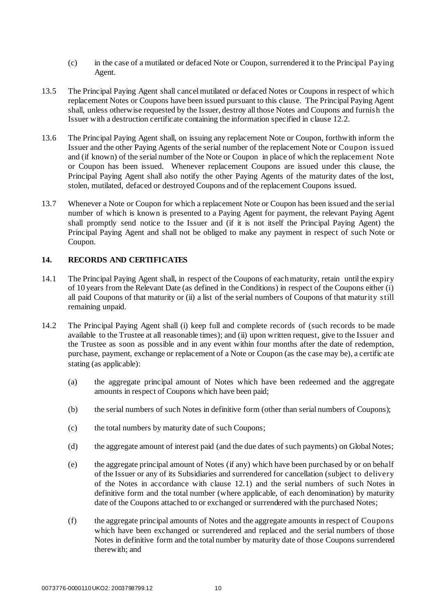- (c) in the case of a mutilated or defaced Note or Coupon, surrendered it to the Principal Paying Agent.
- 13.5 The Principal Paying Agent shall cancel mutilated or defaced Notes or Coupons in respect of whic h replacement Notes or Coupons have been issued pursuant to this clause. The Principal Paying Agent shall, unless otherwise requested by the Issuer, destroy all those Notes and Coupons and furnish the Issuer with a destruction certificate containing the information specified in claus[e 12.2.](#page-10-0)
- 13.6 The Principal Paying Agent shall, on issuing any replacement Note or Coupon, forthwith inform the Issuer and the other Paying Agents of the serial number of the replacement Note or Coupon issued and (if known) of the serial number of the Note or Coupon in place of which the replacement Note or Coupon has been issued. Whenever replacement Coupons are issued under this clause, the Principal Paying Agent shall also notify the other Paying Agents of the maturity dates of the lost, stolen, mutilated, defaced or destroyed Coupons and of the replacement Coupons issued.
- 13.7 Whenever a Note or Coupon for which a replacement Note or Coupon has been issued and the serial number of which is known is presented to a Paying Agent for payment, the relevant Paying Agent shall promptly send notice to the Issuer and (if it is not itself the Principal Paying Agent) the Principal Paying Agent and shall not be obliged to make any payment in respect of such Note or Coupon.

## <span id="page-11-0"></span>**14. RECORDS AND CERTIFICATES**

- 14.1 The Principal Paying Agent shall, in respect of the Coupons of each maturity, retain until the expiry of 10 years from the Relevant Date (as defined in the Conditions) in respect of the Coupons either (i) all paid Coupons of that maturity or (ii) a list of the serial numbers of Coupons of that maturity still remaining unpaid.
- 14.2 The Principal Paying Agent shall (i) keep full and complete records of (such records to be made available to the Trustee at all reasonable times); and (ii) upon written request, give to the Issuer and the Trustee as soon as possible and in any event within four months after the date of redemption, purchase, payment, exchange or replacement of a Note or Coupon (as the case may be), a certific ate stating (as applicable):
	- (a) the aggregate principal amount of Notes which have been redeemed and the aggregate amounts in respect of Coupons which have been paid;
	- (b) the serial numbers of such Notes in definitive form (other than serial numbers of Coupons);
	- (c) the total numbers by maturity date of such Coupons;
	- (d) the aggregate amount of interest paid (and the due dates of such payments) on Global Notes;
	- (e) the aggregate principal amount of Notes (if any) which have been purchased by or on behalf of the Issuer or any of its Subsidiaries and surrendered for cancellation (subject to delivery of the Notes in accordance with clause [12.1](#page-10-1)) and the serial numbers of such Notes in definitive form and the total number (where applicable, of each denomination) by maturity date of the Coupons attached to or exchanged or surrendered with the purchased Notes;
	- (f) the aggregate principal amounts of Notes and the aggregate amounts in respect of Coupons which have been exchanged or surrendered and replaced and the serial numbers of those Notes in definitive form and the total number by maturity date of those Coupons surrendered therewith; and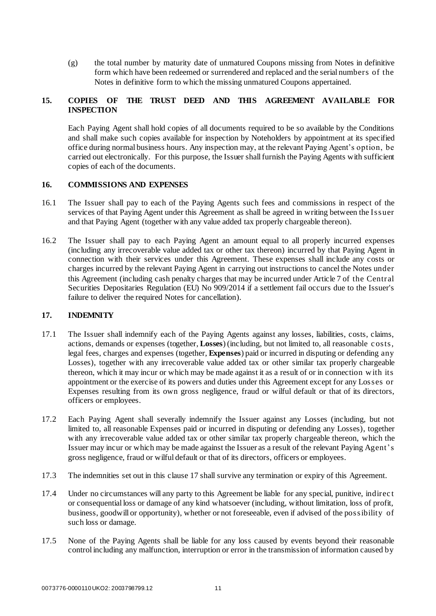(g) the total number by maturity date of unmatured Coupons missing from Notes in definitive form which have been redeemed or surrendered and replaced and the serial numbers of the Notes in definitive form to which the missing unmatured Coupons appertained.

## **15. COPIES OF THE TRUST DEED AND THIS AGREEMENT AVAILABLE FOR INSPECTION**

Each Paying Agent shall hold copies of all documents required to be so available by the Conditions and shall make such copies available for inspection by Noteholders by appointment at its specified office during normal business hours. Any inspection may, at the relevant Paying Agent's option, be carried out electronically. For this purpose, the Issuer shall furnish the Paying Agents with sufficient copies of each of the documents.

## **16. COMMISSIONS AND EXPENSES**

- 16.1 The Issuer shall pay to each of the Paying Agents such fees and commissions in respect of the services of that Paying Agent under this Agreement as shall be agreed in writing between the Issuer and that Paying Agent (together with any value added tax properly chargeable thereon).
- 16.2 The Issuer shall pay to each Paying Agent an amount equal to all properly incurred expenses (including any irrecoverable value added tax or other tax thereon) incurred by that Paying Agent in connection with their services under this Agreement. These expenses shall include any costs or charges incurred by the relevant Paying Agent in carrying out instructions to cancel the Notes under this Agreement (including cash penalty charges that may be incurred under Article 7 of the Central Securities Depositaries Regulation (EU) No 909/2014 if a settlement fail occurs due to the Issuer's failure to deliver the required Notes for cancellation).

## <span id="page-12-0"></span>**17. INDEMNITY**

- 17.1 The Issuer shall indemnify each of the Paying Agents against any losses, liabilities, costs, claims, actions, demands or expenses (together, **Losses**) (including, but not limited to, all reasonable c osts, legal fees, charges and expenses (together, **Expenses**) paid or incurred in disputing or defending any Losses), together with any irrecoverable value added tax or other similar tax properly chargeable thereon, which it may incur or which may be made against it as a result of or in connection w ith its appointment or the exercise of its powers and duties under this Agreement except for any Losses or Expenses resulting from its own gross negligence, fraud or wilful default or that of its directors, officers or employees.
- 17.2 Each Paying Agent shall severally indemnify the Issuer against any Losses (including, but not limited to, all reasonable Expenses paid or incurred in disputing or defending any Losses), together with any irrecoverable value added tax or other similar tax properly chargeable thereon, which the Issuer may incur or which may be made against the Issuer as a result of the relevant Paying Agent's gross negligence, fraud or wilful default or that of its directors, officers or employees.
- 17.3 The indemnities set out in this claus[e 17](#page-12-0) shall survive any termination or expiry of this Agreement.
- 17.4 Under no circumstances will any party to this Agreement be liable for any special, punitive, indirec t or consequential loss or damage of any kind whatsoever (including, without limitation, loss of profit, business, goodwill or opportunity), whether or not foreseeable, even if advised of the possibility of such loss or damage.
- 17.5 None of the Paying Agents shall be liable for any loss caused by events beyond their reasonable control including any malfunction, interruption or error in the transmission of information caused by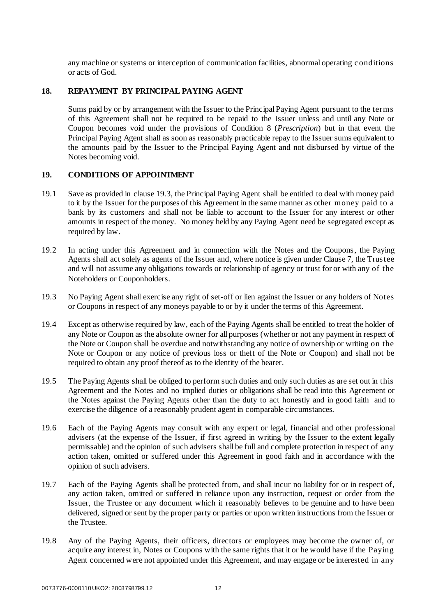any machine or systems or interception of communication facilities, abnormal operating c onditions or acts of God.

#### **18. REPAYMENT BY PRINCIPAL PAYING AGENT**

Sums paid by or by arrangement with the Issuer to the Principal Paying Agent pursuant to the terms of this Agreement shall not be required to be repaid to the Issuer unless and until any Note or Coupon becomes void under the provisions of Condition 8 (*Prescription*) but in that event the Principal Paying Agent shall as soon as reasonably practicable repay to the Issuer sums equivalent to the amounts paid by the Issuer to the Principal Paying Agent and not disbursed by virtue of the Notes becoming void.

#### **19. CONDITIONS OF APPOINTMENT**

- 19.1 Save as provided in claus[e 19.3,](#page-13-0) the Principal Paying Agent shall be entitled to deal with money paid to it by the Issuer for the purposes of this Agreement in the same manner as other money paid to a bank by its customers and shall not be liable to account to the Issuer for any interest or other amounts in respect of the money. No money held by any Paying Agent need be segregated except as required by law.
- 19.2 In acting under this Agreement and in connection with the Notes and the Coupons, the Paying Agents shall act solely as agents of the Issuer and, where notice is given under Clause 7, the Trustee and will not assume any obligations towards or relationship of agency or trust for or with any of the Noteholders or Couponholders.
- <span id="page-13-0"></span>19.3 No Paying Agent shall exercise any right of set-off or lien against the Issuer or any holders of Notes or Coupons in respect of any moneys payable to or by it under the terms of this Agreement.
- 19.4 Except as otherwise required by law, each of the Paying Agents shall be entitled to treat the holder of any Note or Coupon as the absolute owner for all purposes (whether or not any payment in respect of the Note or Coupon shall be overdue and notwithstanding any notice of ownership or writing on the Note or Coupon or any notice of previous loss or theft of the Note or Coupon) and shall not be required to obtain any proof thereof as to the identity of the bearer.
- 19.5 The Paying Agents shall be obliged to perform such duties and only such duties as are set out in this Agreement and the Notes and no implied duties or obligations shall be read into this Agreement or the Notes against the Paying Agents other than the duty to act honestly and in good faith and to exercise the diligence of a reasonably prudent agent in comparable circumstances.
- 19.6 Each of the Paying Agents may consult with any expert or legal, financial and other professional advisers (at the expense of the Issuer, if first agreed in writing by the Issuer to the extent legally permissable) and the opinion of such advisers shall be full and complete protection in respect of any action taken, omitted or suffered under this Agreement in good faith and in accordance with the opinion of such advisers.
- 19.7 Each of the Paying Agents shall be protected from, and shall incur no liability for or in respect of, any action taken, omitted or suffered in reliance upon any instruction, request or order from the Issuer, the Trustee or any document which it reasonably believes to be genuine and to have been delivered, signed or sent by the proper party or parties or upon written instructions from the Issuer or the Trustee.
- 19.8 Any of the Paying Agents, their officers, directors or employees may become the owner of, or acquire any interest in, Notes or Coupons with the same rights that it or he would have if the Paying Agent concerned were not appointed under this Agreement, and may engage or be interested in any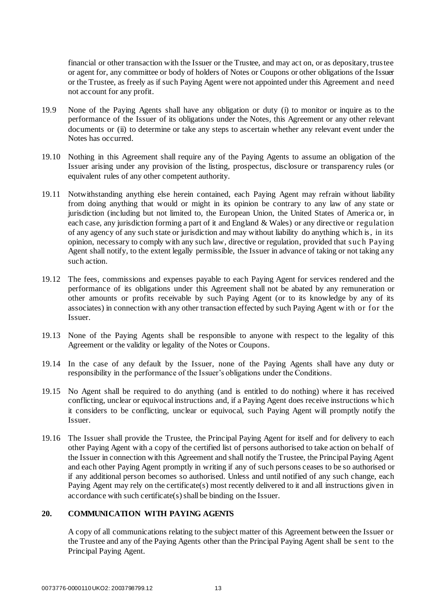financial or other transaction with the Issuer or the Trustee, and may act on, or as depositary, trustee or agent for, any committee or body of holders of Notes or Coupons or other obligations of the Issuer or the Trustee, as freely as if such Paying Agent were not appointed under this Agreement and need not account for any profit.

- 19.9 None of the Paying Agents shall have any obligation or duty (i) to monitor or inquire as to the performance of the Issuer of its obligations under the Notes, this Agreement or any other relevant documents or (ii) to determine or take any steps to ascertain whether any relevant event under the Notes has occurred.
- 19.10 Nothing in this Agreement shall require any of the Paying Agents to assume an obligation of the Issuer arising under any provision of the listing, prospectus, disclosure or transparency rules (or equivalent rules of any other competent authority.
- 19.11 Notwithstanding anything else herein contained, each Paying Agent may refrain without liability from doing anything that would or might in its opinion be contrary to any law of any state or jurisdiction (including but not limited to, the European Union, the United States of America or, in each case, any jurisdiction forming a part of it and England & Wales) or any directive or regulation of any agency of any such state or jurisdiction and may without liability do anything which is, in its opinion, necessary to comply with any such law, directive or regulation, provided that suc h Paying Agent shall notify, to the extent legally permissible, the Issuer in advance of taking or not taking any such action.
- 19.12 The fees, commissions and expenses payable to each Paying Agent for services rendered and the performance of its obligations under this Agreement shall not be abated by any remuneration or other amounts or profits receivable by such Paying Agent (or to its knowledge by any of its associates) in connection with any other transaction effected by such Paying Agent w ith or for the Issuer.
- 19.13 None of the Paying Agents shall be responsible to anyone with respect to the legality of this Agreement or the validity or legality of the Notes or Coupons.
- 19.14 In the case of any default by the Issuer, none of the Paying Agents shall have any duty or responsibility in the performance of the Issuer's obligations under the Conditions.
- 19.15 No Agent shall be required to do anything (and is entitled to do nothing) where it has received conflicting, unclear or equivocal instructions and, if a Paying Agent does receive instructions w hic h it considers to be conflicting, unclear or equivocal, such Paying Agent will promptly notify the Issuer.
- 19.16 The Issuer shall provide the Trustee, the Principal Paying Agent for itself and for delivery to each other Paying Agent with a copy of the certified list of persons authorised to take action on behalf of the Issuer in connection with this Agreement and shall notify the Trustee, the Principal Paying Agent and each other Paying Agent promptly in writing if any of such persons ceases to be so authorised or if any additional person becomes so authorised. Unless and until notified of any such change, each Paying Agent may rely on the certificate(s) most recently delivered to it and all instructions given in accordance with such certificate(s) shall be binding on the Issuer.

#### **20. COMMUNICATION WITH PAYING AGENTS**

A copy of all communications relating to the subject matter of this Agreement between the Issuer or the Trustee and any of the Paying Agents other than the Principal Paying Agent shall be sent to the Principal Paying Agent.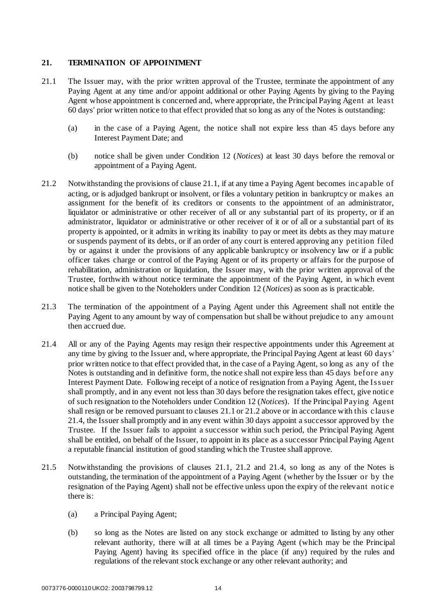## <span id="page-15-0"></span>**21. TERMINATION OF APPOINTMENT**

- <span id="page-15-1"></span>21.1 The Issuer may, with the prior written approval of the Trustee, terminate the appointment of any Paying Agent at any time and/or appoint additional or other Paying Agents by giving to the Paying Agent whose appointment is concerned and, where appropriate, the Principal Paying Agent at least 60 days' prior written notice to that effect provided that so long as any of the Notes is outstanding:
	- (a) in the case of a Paying Agent, the notice shall not expire less than 45 days before any Interest Payment Date; and
	- (b) notice shall be given under Condition 12 (*Notices*) at least 30 days before the removal or appointment of a Paying Agent.
- <span id="page-15-2"></span>21.2 Notwithstanding the provisions of clause [21.1,](#page-15-1) if at any time a Paying Agent becomes inc apable of acting, or is adjudged bankrupt or insolvent, or files a voluntary petition in bankruptcy or makes an assignment for the benefit of its creditors or consents to the appointment of an administrator, liquidator or administrative or other receiver of all or any substantial part of its property, or if an administrator, liquidator or administrative or other receiver of it or of all or a substantial part of its property is appointed, or it admits in writing its inability to pay or meet its debts as they may mature or suspends payment of its debts, or if an order of any court is entered approving any petition filed by or against it under the provisions of any applicable bankruptcy or insolvency law or if a public officer takes charge or control of the Paying Agent or of its property or affairs for the purpose of rehabilitation, administration or liquidation, the Issuer may, with the prior written approval of the Trustee, forthwith without notice terminate the appointment of the Paying Agent, in which event notice shall be given to the Noteholders under Condition 12 (*Notices*) as soon as is practicable.
- 21.3 The termination of the appointment of a Paying Agent under this Agreement shall not entitle the Paying Agent to any amount by way of compensation but shall be without prejudice to any amount then accrued due.
- <span id="page-15-3"></span>21.4 All or any of the Paying Agents may resign their respective appointments under this Agreement at any time by giving to the Issuer and, where appropriate, the Principal Paying Agent at least 60 days' prior written notice to that effect provided that, in the case of a Paying Agent, so long as any of the Notes is outstanding and in definitive form, the notice shall not expire less than 45 days before any Interest Payment Date. Following receipt of a notice of resignation from a Paying Agent, the Issuer shall promptly, and in any event not less than 30 days before the resignation takes effect, give notic e of such resignation to the Noteholders under Condition 12 (*Notices*). If the Principal Paying Agent shall resign or be removed pursuant to clauses [21.1](#page-15-1) or [21.2 above](#page-15-2) or in accordance with this c lause [21.4,](#page-15-3) the Issuer shall promptly and in any event within 30 days appoint a successor approved by the Trustee. If the Issuer fails to appoint a successor within such period, the Principal Paying Agent shall be entitled, on behalf of the Issuer, to appoint in its place as a successor Principal Paying Agent a reputable financial institution of good standing which the Trustee shall approve.
- 21.5 Notwithstanding the provisions of clauses [21.1](#page-15-1), [21.2](#page-15-2) and [21.4](#page-15-3), so long as any of the Notes is outstanding, the termination of the appointment of a Paying Agent (whether by the Issuer or by the resignation of the Paying Agent) shall not be effective unless upon the expiry of the relevant notic e there is:
	- (a) a Principal Paying Agent;
	- (b) so long as the Notes are listed on any stock exchange or admitted to listing by any other relevant authority, there will at all times be a Paying Agent (which may be the Principal Paying Agent) having its specified office in the place (if any) required by the rules and regulations of the relevant stock exchange or any other relevant authority; and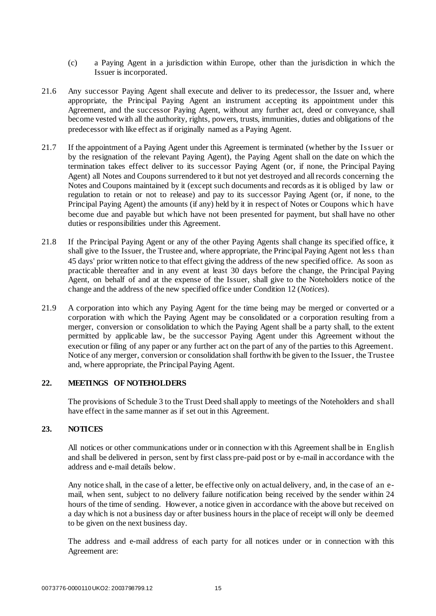- (c) a Paying Agent in a jurisdiction within Europe, other than the jurisdiction in which the Issuer is incorporated.
- 21.6 Any successor Paying Agent shall execute and deliver to its predecessor, the Issuer and, where appropriate, the Principal Paying Agent an instrument accepting its appointment under this Agreement, and the successor Paying Agent, without any further act, deed or conveyance, shall become vested with all the authority, rights, powers, trusts, immunities, duties and obligations of the predecessor with like effect as if originally named as a Paying Agent.
- 21.7 If the appointment of a Paying Agent under this Agreement is terminated (whether by the Issuer or by the resignation of the relevant Paying Agent), the Paying Agent shall on the date on which the termination takes effect deliver to its successor Paying Agent (or, if none, the Principal Paying Agent) all Notes and Coupons surrendered to it but not yet destroyed and all records concerning the Notes and Coupons maintained by it (except such documents and records as it is obliged by law or regulation to retain or not to release) and pay to its successor Paying Agent (or, if none, to the Principal Paying Agent) the amounts (if any) held by it in respect of Notes or Coupons whic h have become due and payable but which have not been presented for payment, but shall have no other duties or responsibilities under this Agreement.
- 21.8 If the Principal Paying Agent or any of the other Paying Agents shall change its specified office, it shall give to the Issuer, the Trustee and, where appropriate, the Principal Paying Agent not less t han 45 days' prior written notice to that effect giving the address of the new specified office. As soon as practicable thereafter and in any event at least 30 days before the change, the Principal Paying Agent, on behalf of and at the expense of the Issuer, shall give to the Noteholders notice of the change and the address of the new specified office under Condition 12 (*Notices*).
- 21.9 A corporation into which any Paying Agent for the time being may be merged or converted or a corporation with which the Paying Agent may be consolidated or a corporation resulting from a merger, conversion or consolidation to which the Paying Agent shall be a party shall, to the extent permitted by applicable law, be the successor Paying Agent under this Agreement without the execution or filing of any paper or any further act on the part of any of the parties to this Agreement. Notice of any merger, conversion or consolidation shall forthwith be given to the Issuer, the Trustee and, where appropriate, the Principal Paying Agent.

#### **22. MEETINGS OF NOTEHOLDERS**

The provisions of Schedule 3 to the Trust Deed shall apply to meetings of the Noteholders and shall have effect in the same manner as if set out in this Agreement.

#### <span id="page-16-0"></span>**23. NOTICES**

All notices or other communications under or in connection with this Agreement shall be in English and shall be delivered in person, sent by first class pre-paid post or by e-mail in accordance with the address and e-mail details below.

Any notice shall, in the case of a letter, be effective only on actual delivery, and, in the case of an email, when sent, subject to no delivery failure notification being received by the sender within 24 hours of the time of sending. However, a notice given in accordance with the above but received on a day which is not a business day or after business hours in the place of receipt will only be deemed to be given on the next business day.

The address and e-mail address of each party for all notices under or in connection with this Agreement are: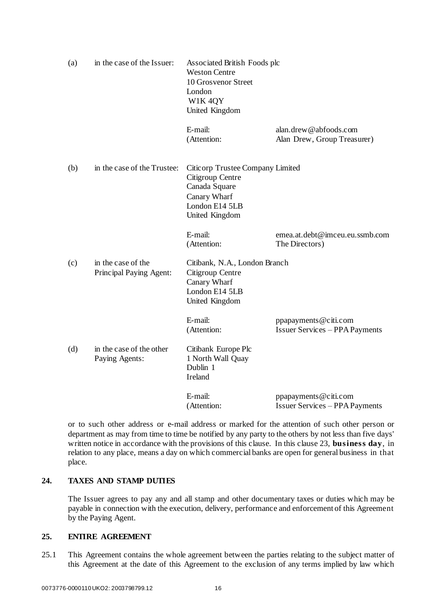| (a) | in the case of the Issuer:                    | Associated British Foods plc<br><b>Weston Centre</b><br>10 Grosvenor Street<br>London<br>W1K 4QY<br>United Kingdom        |                                                                |
|-----|-----------------------------------------------|---------------------------------------------------------------------------------------------------------------------------|----------------------------------------------------------------|
|     |                                               | E-mail:<br>(Attention:                                                                                                    | alan.drew@abfoods.com<br>Alan Drew, Group Treasurer)           |
| (b) | in the case of the Trustee:                   | Citicorp Trustee Company Limited<br>Citigroup Centre<br>Canada Square<br>Canary Wharf<br>London E14 5LB<br>United Kingdom |                                                                |
|     |                                               | E-mail:<br>(Attention:                                                                                                    | emea.at.debt@imceu.eu.ssmb.com<br>The Directors)               |
| (c) | in the case of the<br>Principal Paying Agent: | Citibank, N.A., London Branch<br>Citigroup Centre<br>Canary Wharf<br>London E14 5LB<br>United Kingdom                     |                                                                |
|     |                                               | E-mail:<br>(Attention:                                                                                                    | ppapayments@citi.com<br><b>Issuer Services – PPA Payments</b>  |
| (d) | in the case of the other<br>Paying Agents:    | Citibank Europe Plc<br>1 North Wall Quay<br>Dublin 1<br>Ireland                                                           |                                                                |
|     |                                               | E-mail:<br>(Attention:                                                                                                    | ppapayments @citi.com<br><b>Issuer Services - PPA Payments</b> |

or to such other address or e-mail address or marked for the attention of such other person or department as may from time to time be notified by any party to the others by not less than five days' written notice in accordance with the provisions of this clause. In this clause 2[3,](#page-16-0) **business day**, in relation to any place, means a day on which commercial banks are open for general business in that place.

#### **24. TAXES AND STAMP DUTIES**

The Issuer agrees to pay any and all stamp and other documentary taxes or duties which may be payable in connection with the execution, delivery, performance and enforcement of this Agreement by the Paying Agent.

#### <span id="page-17-0"></span>**25. ENTIRE AGREEMENT**

25.1 This Agreement contains the whole agreement between the parties relating to the subject matter of this Agreement at the date of this Agreement to the exclusion of any terms implied by law which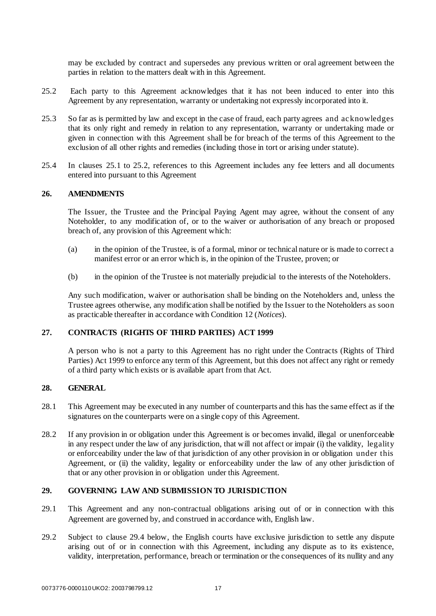<span id="page-18-0"></span>may be excluded by contract and supersedes any previous written or oral agreement between the parties in relation to the matters dealt with in this Agreement.

- 25.2 Each party to this Agreement acknowledges that it has not been induced to enter into this Agreement by any representation, warranty or undertaking not expressly incorporated into it.
- 25.3 So far as is permitted by law and except in the case of fraud, each party agrees and ac knowledges that its only right and remedy in relation to any representation, warranty or undertaking made or given in connection with this Agreement shall be for breach of the terms of this Agreement to the exclusion of all other rights and remedies (including those in tort or arising under statute).
- 25.4 In clauses [25.1](#page-17-0) to [25.2](#page-18-0), references to this Agreement includes any fee letters and all documents entered into pursuant to this Agreement

#### **26. AMENDMENTS**

The Issuer, the Trustee and the Principal Paying Agent may agree, without the consent of any Noteholder, to any modification of, or to the waiver or authorisation of any breach or proposed breach of, any provision of this Agreement which:

- (a) in the opinion of the Trustee, is of a formal, minor or technical nature or is made to correct a manifest error or an error which is, in the opinion of the Trustee, proven; or
- (b) in the opinion of the Trustee is not materially prejudicial to the interests of the Noteholders.

Any such modification, waiver or authorisation shall be binding on the Noteholders and, unless the Trustee agrees otherwise, any modification shall be notified by the Issuer to the Noteholders as soon as practicable thereafter in accordance with Condition 12 (*Notices*).

## **27. CONTRACTS (RIGHTS OF THIRD PARTIES) ACT 1999**

A person who is not a party to this Agreement has no right under the Contracts (Rights of Third Parties) Act 1999 to enforce any term of this Agreement, but this does not affect any right or remedy of a third party which exists or is available apart from that Act.

#### **28. GENERAL**

- 28.1 This Agreement may be executed in any number of counterparts and this has the same effect as if the signatures on the counterparts were on a single copy of this Agreement.
- 28.2 If any provision in or obligation under this Agreement is or becomes invalid, illegal or unenforceable in any respect under the law of any jurisdiction, that will not affect or impair (i) the validity, legality or enforceability under the law of that jurisdiction of any other provision in or obligation under this Agreement, or (ii) the validity, legality or enforceability under the law of any other jurisdiction of that or any other provision in or obligation under this Agreement.

#### **29. GOVERNING LAW AND SUBMISSION TO JURISDICTION**

- 29.1 This Agreement and any non-contractual obligations arising out of or in connection with this Agreement are governed by, and construed in accordance with, English law.
- <span id="page-18-1"></span>29.2 Subject to clause [29.4 below](#page-19-0), the English courts have exclusive jurisdiction to settle any dispute arising out of or in connection with this Agreement, including any dispute as to its existence, validity, interpretation, performance, breach or termination or the consequences of its nullity and any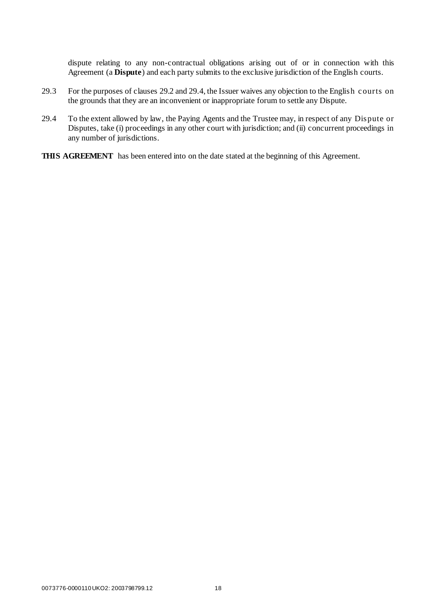dispute relating to any non-contractual obligations arising out of or in connection with this Agreement (a **Dispute**) and each party submits to the exclusive jurisdiction of the English courts.

- 29.3 For the purposes of clauses [29.2](#page-18-1) and [29.4, t](#page-19-0)he Issuer waives any objection to the English c ourts on the grounds that they are an inconvenient or inappropriate forum to settle any Dispute.
- <span id="page-19-0"></span>29.4 To the extent allowed by law, the Paying Agents and the Trustee may, in respect of any Dispute or Disputes, take (i) proceedings in any other court with jurisdiction; and (ii) concurrent proceedings in any number of jurisdictions.
- **THIS AGREEMENT** has been entered into on the date stated at the beginning of this Agreement.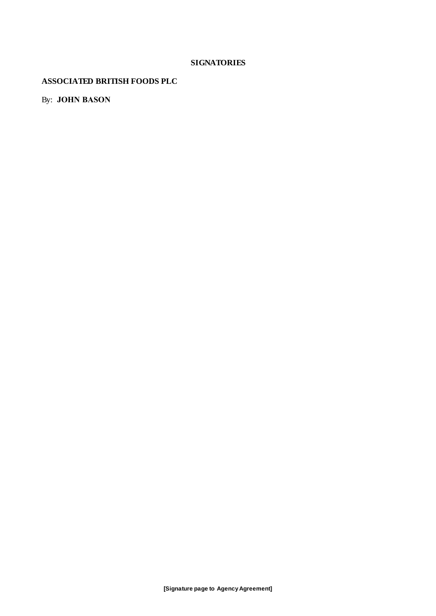## **SIGNATORIES**

## <span id="page-20-0"></span>**ASSOCIATED BRITISH FOODS PLC**

By: **JOHN BASON**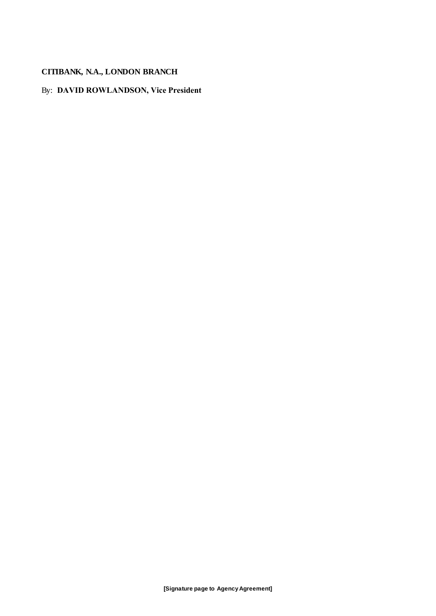## **CITIBANK, N.A., LONDON BRANCH**

## By: **DAVID ROWLANDSON, Vice President**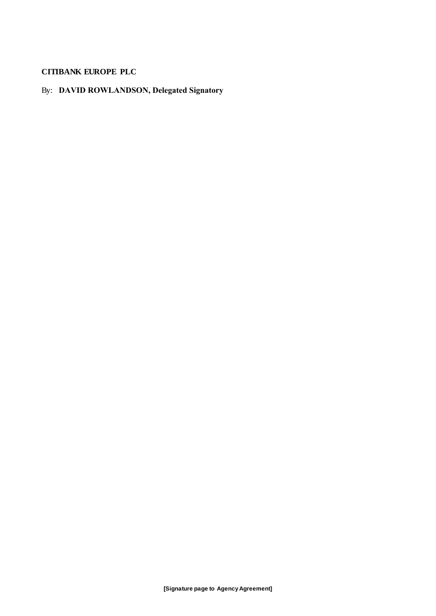## **CITIBANK EUROPE PLC**

## By: **DAVID ROWLANDSON, Delegated Signatory**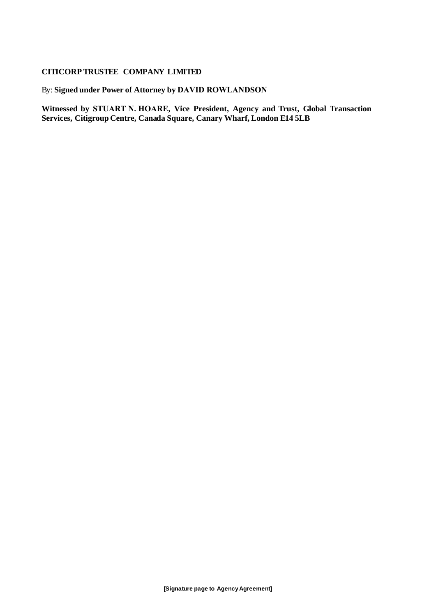## **CITICORP TRUSTEE COMPANY LIMITED**

By: **Signed under Power of Attorney by DAVID ROWLANDSON**

**Witnessed by STUART N. HOARE, Vice President, Agency and Trust, Global Transaction Services, Citigroup Centre, Canada Square, Canary Wharf, London E14 5LB**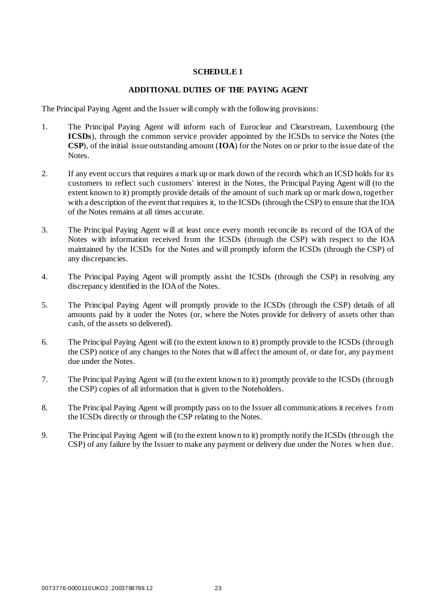### **SCHEDULE 1**

#### **ADDITIONAL DUTIES OF THE PAYING AGENT**

<span id="page-24-0"></span>The Principal Paying Agent and the Issuer will comply with the following provisions:

- 1. The Principal Paying Agent will inform each of Euroclear and Clearstream, Luxembourg (the **ICSDs**), through the common service provider appointed by the ICSDs to service the Notes (the **CSP**), of the initial issue outstanding amount (**IOA**) for the Notes on or prior to the issue date of the Notes.
- 2. If any event occurs that requires a mark up or mark down of the records which an ICSD holds for its customers to reflect such customers' interest in the Notes, the Principal Paying Agent will (to the extent known to it) promptly provide details of the amount of such mark up or mark down, together with a description of the event that requires it, to the ICSDs (through the CSP) to ensure that the IOA of the Notes remains at all times accurate.
- 3. The Principal Paying Agent will at least once every month reconcile its record of the IOA of the Notes with information received from the ICSDs (through the CSP) with respect to the IOA maintained by the ICSDs for the Notes and will promptly inform the ICSDs (through the CSP) of any discrepancies.
- 4. The Principal Paying Agent will promptly assist the ICSDs (through the CSP) in resolving any discrepancy identified in the IOA of the Notes.
- 5. The Principal Paying Agent will promptly provide to the ICSDs (through the CSP) details of all amounts paid by it under the Notes (or, where the Notes provide for delivery of assets other than cash, of the assets so delivered).
- 6. The Principal Paying Agent will (to the extent known to it) promptly provide to the ICSDs (through the CSP) notice of any changes to the Notes that will affect the amount of, or date for, any payment due under the Notes.
- 7. The Principal Paying Agent will (to the extent known to it) promptly provide to the ICSDs (through the CSP) copies of all information that is given to the Noteholders.
- 8. The Principal Paying Agent will promptly pass on to the Issuer all communications it receives from the ICSDs directly or through the CSP relating to the Notes.
- 9. The Principal Paying Agent will (to the extent known to it) promptly notify the ICSDs (through the CSP) of any failure by the Issuer to make any payment or delivery due under the Notes w hen due.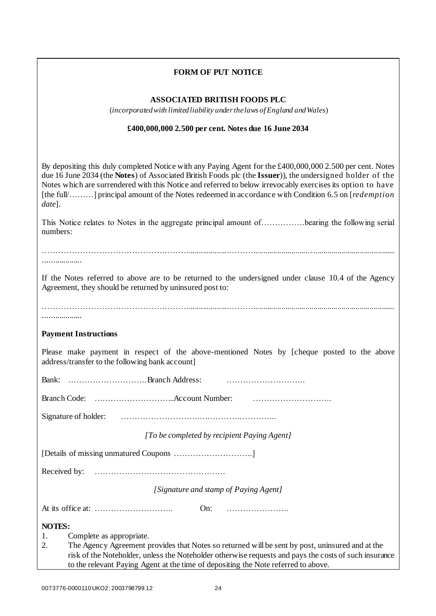## **FORM OF PUT NOTICE**

#### **ASSOCIATED BRITISH FOODS PLC**

(*incorporated with limited liability under the laws of England and Wales*)

#### **£400,000,000 2.500 per cent. Notes due 16 June 2034**

By depositing this duly completed Notice with any Paying Agent for the £400,000,000 2.500 per cent. Notes due 16 June 2034 (the **Notes**) of Associated British Foods plc (the **Issuer**)), the undersigned holder of the Notes which are surrendered with this Notice and referred to below irrevocably exercises its option to have [the full/………] principal amount of the Notes redeemed in accordance with Condition 6.5 on [*redemption date*].

This Notice relates to Notes in the aggregate principal amount of…………….bearing the following serial numbers:

………………………………………………....................………...........................…........................................

...................

...................

If the Notes referred to above are to be returned to the undersigned under clause [10.4](#page-9-0) of the Agency Agreement, they should be returned by uninsured post to:

………………………………………………....................……….......................................................................

#### **Payment Instructions**

Please make payment in respect of the above-mentioned Notes by [cheque posted to the above address/transfer to the following bank account]

Bank: ………………………..Branch Address: ………………………..

Branch Code: ….……………………..Account Number: ………………………..

Signature of holder: ………………………..………………………..

*[To be completed by recipient Paying Agent]*

[Details of missing unmatured Coupons ………………………..]

Received by: …………………………………………

*[Signature and stamp of Paying Agent]*

At its office at: ……………………….. On: …………………..

**NOTES:**

1. Complete as appropriate.

2. The Agency Agreement provides that Notes so returned will be sent by post, uninsured and at the risk of the Noteholder, unless the Noteholder otherwise requests and pays the costs of such insurance to the relevant Paying Agent at the time of depositing the Note referred to above.